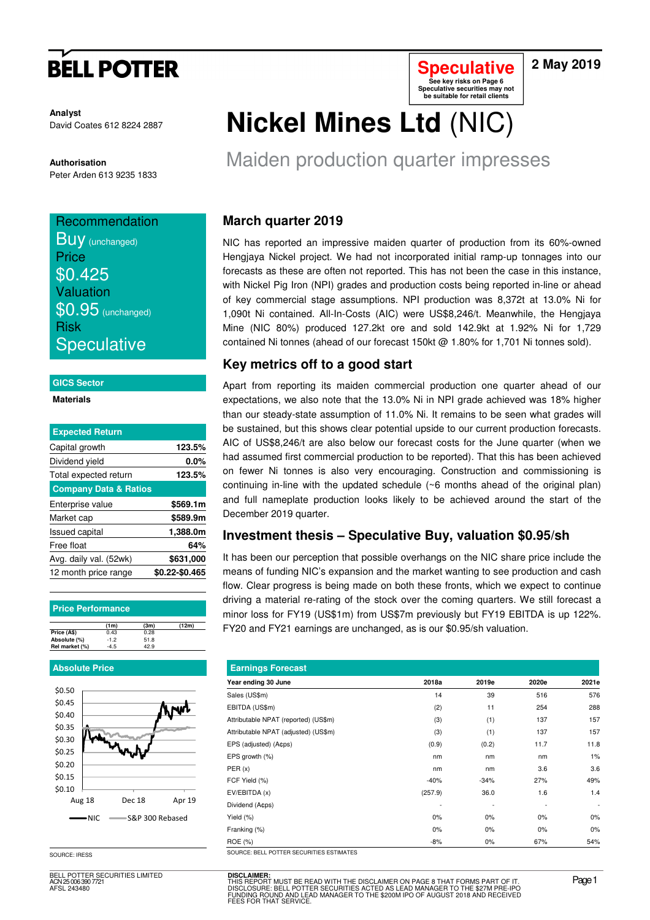# **BELL POTTER**

**Analyst** David Coates 612 8224 2887

**Authorisation**  Peter Arden 613 9235 1833

### **Recommendation**

**BUV** (unchanged) **Price** \$0.425 Valuation  $$0.95$  (unchanged) Risk **Speculative** 

#### **GICS Sector**

**Materials** 

| <b>Expected Return</b>           |                |
|----------------------------------|----------------|
| Capital growth                   | 123.5%         |
| Dividend yield                   | $0.0\%$        |
| Total expected return            | 123.5%         |
| <b>Company Data &amp; Ratios</b> |                |
| Enterprise value                 | \$569.1m       |
| Market cap                       | \$589.9m       |
| <b>Issued capital</b>            | 1,388.0m       |
| Free float                       | 64%            |
| Avg. daily val. (52wk)           | \$631,000      |
| 12 month price range             | \$0.22-\$0.465 |

#### **Price Performance**

|                | (1 <sub>m</sub> ) | (3m) | (12m) |
|----------------|-------------------|------|-------|
| Price (A\$)    | 0.43              | 0.28 |       |
| Absolute (%)   | $-1.2$            | 51.8 |       |
| Rel market (%) | -4.5              | 42.9 |       |

#### **Absolute Price**



SOURCE: IRESS

BELL POTTER SECURITIES LIMITED ELL 1<br>N 25 006 390 772 AFSL 243480

# **Nickel Mines Ltd** (NIC)

Maiden production quarter impresses

**Speculative See key risks on Page 6 Speculative securities may not be suitable for retail clients** 

## **March quarter 2019**

NIC has reported an impressive maiden quarter of production from its 60%-owned Hengjaya Nickel project. We had not incorporated initial ramp-up tonnages into our forecasts as these are often not reported. This has not been the case in this instance, with Nickel Pig Iron (NPI) grades and production costs being reported in-line or ahead of key commercial stage assumptions. NPI production was 8,372t at 13.0% Ni for 1,090t Ni contained. All-In-Costs (AIC) were US\$8,246/t. Meanwhile, the Hengjaya Mine (NIC 80%) produced 127.2kt ore and sold 142.9kt at 1.92% Ni for 1,729 contained Ni tonnes (ahead of our forecast 150kt @ 1.80% for 1,701 Ni tonnes sold).

## **Key metrics off to a good start**

Apart from reporting its maiden commercial production one quarter ahead of our expectations, we also note that the 13.0% Ni in NPI grade achieved was 18% higher than our steady-state assumption of 11.0% Ni. It remains to be seen what grades will be sustained, but this shows clear potential upside to our current production forecasts. AIC of US\$8,246/t are also below our forecast costs for the June quarter (when we had assumed first commercial production to be reported). That this has been achieved on fewer Ni tonnes is also very encouraging. Construction and commissioning is continuing in-line with the updated schedule  $(~6$  months ahead of the original plan) and full nameplate production looks likely to be achieved around the start of the December 2019 quarter.

### **Investment thesis – Speculative Buy, valuation \$0.95/sh**

It has been our perception that possible overhangs on the NIC share price include the means of funding NIC's expansion and the market wanting to see production and cash flow. Clear progress is being made on both these fronts, which we expect to continue driving a material re-rating of the stock over the coming quarters. We still forecast a minor loss for FY19 (US\$1m) from US\$7m previously but FY19 EBITDA is up 122%. FY20 and FY21 earnings are unchanged, as is our \$0.95/sh valuation.

| <b>Earnings Forecast</b>             |         |                          |       |                          |  |  |  |  |  |  |  |
|--------------------------------------|---------|--------------------------|-------|--------------------------|--|--|--|--|--|--|--|
| Year ending 30 June                  | 2018a   | 2019e                    | 2020e | 2021e                    |  |  |  |  |  |  |  |
| Sales (US\$m)                        | 14      | 39                       | 516   | 576                      |  |  |  |  |  |  |  |
| EBITDA (US\$m)                       | (2)     | 11                       | 254   | 288                      |  |  |  |  |  |  |  |
| Attributable NPAT (reported) (US\$m) | (3)     | (1)                      | 137   | 157                      |  |  |  |  |  |  |  |
| Attributable NPAT (adjusted) (US\$m) | (3)     | (1)                      | 137   | 157                      |  |  |  |  |  |  |  |
| EPS (adjusted) (A¢ps)                | (0.9)   | (0.2)                    | 11.7  | 11.8                     |  |  |  |  |  |  |  |
| EPS growth (%)                       | nm      | nm                       | nm    | 1%                       |  |  |  |  |  |  |  |
| PER(x)                               | nm      | nm                       | 3.6   | 3.6                      |  |  |  |  |  |  |  |
| FCF Yield (%)                        | $-40%$  | $-34%$                   | 27%   | 49%                      |  |  |  |  |  |  |  |
| EV/EBITDA (x)                        | (257.9) | 36.0                     | 1.6   | 1.4                      |  |  |  |  |  |  |  |
| Dividend (A¢ps)                      | ٠       | $\overline{\phantom{a}}$ |       | $\overline{\phantom{a}}$ |  |  |  |  |  |  |  |
| Yield $(\%)$                         | $0\%$   | 0%                       | $0\%$ | 0%                       |  |  |  |  |  |  |  |
| Franking (%)                         | 0%      | $0\%$                    | $0\%$ | 0%                       |  |  |  |  |  |  |  |
| ROE (%)                              | $-8%$   | $0\%$                    | 67%   | 54%                      |  |  |  |  |  |  |  |

**DISCLAIMER:**<br>THIS REPORT MUST BE READ WITH THE DISCLAIMER ON PAGE 8 THAT FORMS PART OF IT.<br>DISCLOSURE: BELL POTTER SECURITIES ACTED AS LEAD MANAGER TO THE \$27M PRE-IPO<br>FURDING ROUND AND LEAD MANAGER TO THE \$200M IPO OF AU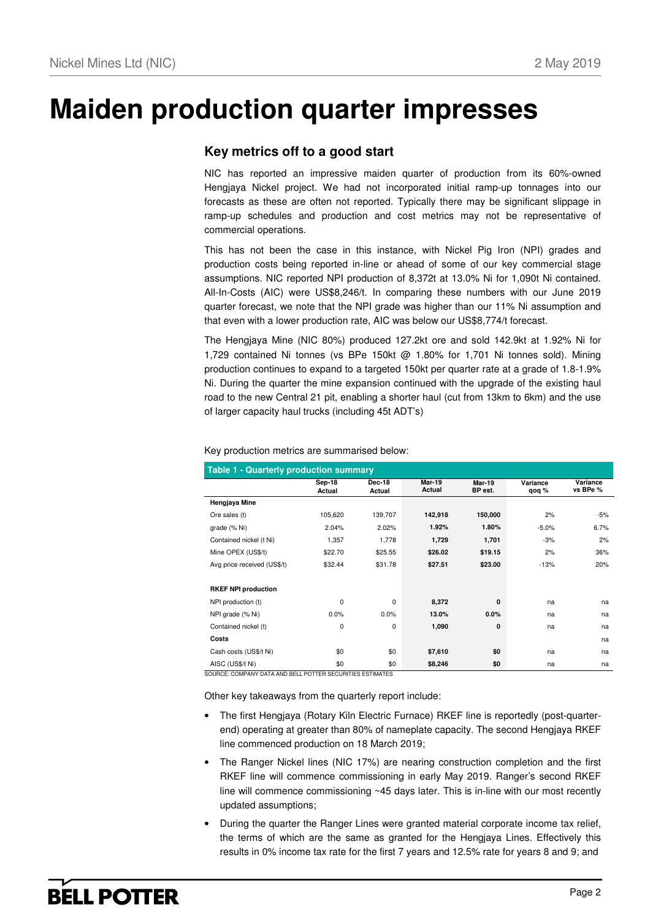# **Maiden production quarter impresses**

## **Key metrics off to a good start**

NIC has reported an impressive maiden quarter of production from its 60%-owned Hengjaya Nickel project. We had not incorporated initial ramp-up tonnages into our forecasts as these are often not reported. Typically there may be significant slippage in ramp-up schedules and production and cost metrics may not be representative of commercial operations.

This has not been the case in this instance, with Nickel Pig Iron (NPI) grades and production costs being reported in-line or ahead of some of our key commercial stage assumptions. NIC reported NPI production of 8,372t at 13.0% Ni for 1,090t Ni contained. All-In-Costs (AIC) were US\$8,246/t. In comparing these numbers with our June 2019 quarter forecast, we note that the NPI grade was higher than our 11% Ni assumption and that even with a lower production rate, AIC was below our US\$8,774/t forecast.

The Hengjaya Mine (NIC 80%) produced 127.2kt ore and sold 142.9kt at 1.92% Ni for 1,729 contained Ni tonnes (vs BPe 150kt @ 1.80% for 1,701 Ni tonnes sold). Mining production continues to expand to a targeted 150kt per quarter rate at a grade of 1.8-1.9% Ni. During the quarter the mine expansion continued with the upgrade of the existing haul road to the new Central 21 pit, enabling a shorter haul (cut from 13km to 6km) and the use of larger capacity haul trucks (including 45t ADT's)

|                             | Sep-18<br>Actual | Dec-18<br>Actual | <b>Mar-19</b><br>Actual | <b>Mar-19</b><br>BP est. | Variance<br>qoq % | Variance<br>vs BPe % |
|-----------------------------|------------------|------------------|-------------------------|--------------------------|-------------------|----------------------|
| Hengjaya Mine               |                  |                  |                         |                          |                   |                      |
| Ore sales (t)               | 105,620          | 139,707          | 142,918                 | 150,000                  | 2%                | -5%                  |
| grade (% Ni)                | 2.04%            | 2.02%            | 1.92%                   | 1.80%                    | $-5.0%$           | 6.7%                 |
| Contained nickel (t Ni)     | 1,357            | 1,778            | 1,729                   | 1,701                    | $-3%$             | 2%                   |
| Mine OPEX (US\$/t)          | \$22.70          | \$25.55          | \$26.02                 | \$19.15                  | 2%                | 36%                  |
| Avg price received (US\$/t) | \$32.44          | \$31.78          | \$27.51                 | \$23.00                  | $-13%$            | 20%                  |
| <b>RKEF NPI production</b>  |                  |                  |                         |                          |                   |                      |
| NPI production (t)          | 0                | 0                | 8,372                   | 0                        | na                | na                   |
| NPI grade (% Ni)            | 0.0%             | 0.0%             | 13.0%                   | $0.0\%$                  | na                | na                   |
| Contained nickel (t)        | 0                | 0                | 1,090                   | 0                        | na                | na                   |
| Costs                       |                  |                  |                         |                          |                   | na                   |
| Cash costs (US\$/t Ni)      | \$0              | \$0              | \$7,610                 | \$0                      | na                | na                   |
| AISC (US\$/t Ni)            | \$0              | \$0              | \$8,246                 | \$0                      | na                | na                   |

#### Key production metrics are summarised below:

Other key takeaways from the quarterly report include:

- The first Hengjaya (Rotary Kiln Electric Furnace) RKEF line is reportedly (post-quarterend) operating at greater than 80% of nameplate capacity. The second Hengjaya RKEF line commenced production on 18 March 2019;
- The Ranger Nickel lines (NIC 17%) are nearing construction completion and the first RKEF line will commence commissioning in early May 2019. Ranger's second RKEF line will commence commissioning ~45 days later. This is in-line with our most recently updated assumptions;
- During the quarter the Ranger Lines were granted material corporate income tax relief, the terms of which are the same as granted for the Hengjaya Lines. Effectively this results in 0% income tax rate for the first 7 years and 12.5% rate for years 8 and 9; and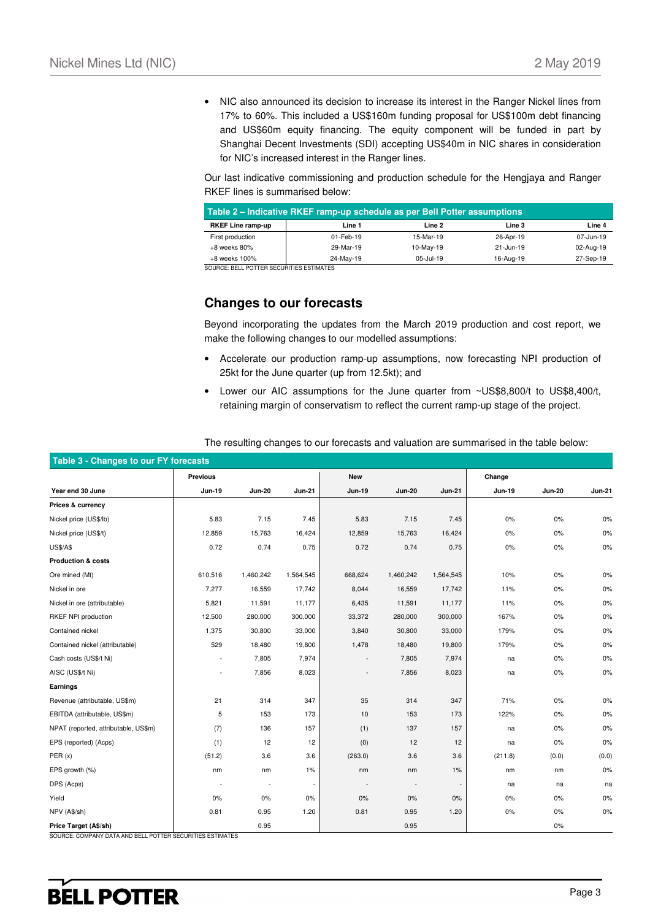• NIC also announced its decision to increase its interest in the Ranger Nickel lines from 17% to 60%. This included a US\$160m funding proposal for US\$100m debt financing and US\$60m equity financing. The equity component will be funded in part by Shanghai Decent Investments (SDI) accepting US\$40m in NIC shares in consideration for NIC's increased interest in the Ranger lines.

Our last indicative commissioning and production schedule for the Hengjaya and Ranger RKEF lines is summarised below:

| Table 2 – Indicative RKEF ramp-up schedule as per Bell Potter assumptions |           |               |           |           |  |  |  |  |  |
|---------------------------------------------------------------------------|-----------|---------------|-----------|-----------|--|--|--|--|--|
| <b>RKEF Line ramp-up</b>                                                  | Line 1    | Line 2        | Line 3    | Line 4    |  |  |  |  |  |
| First production                                                          | 01-Feb-19 | 15-Mar-19     | 26-Apr-19 | 07-Jun-19 |  |  |  |  |  |
| $+8$ weeks 80%                                                            | 29-Mar-19 | 10-May-19     | 21-Jun-19 | 02-Aug-19 |  |  |  |  |  |
| +8 weeks 100%                                                             | 24-May-19 | $05 -$ Jul-19 | 16-Aug-19 | 27-Sep-19 |  |  |  |  |  |

SOURCE: BELL POTTER SECURITIES ESTIMATES

### **Changes to our forecasts**

Beyond incorporating the updates from the March 2019 production and cost report, we make the following changes to our modelled assumptions:

- Accelerate our production ramp-up assumptions, now forecasting NPI production of 25kt for the June quarter (up from 12.5kt); and
- Lower our AIC assumptions for the June quarter from ~US\$8,800/t to US\$8,400/t, retaining margin of conservatism to reflect the current ramp-up stage of the project.

| The resulting changes to our forecasts and valuation are summarised in the table below: |  |  |
|-----------------------------------------------------------------------------------------|--|--|
|                                                                                         |  |  |

| Table 3 - Changes to our FY forecasts |                          |                          |               |                          |                          |               |               |               |               |
|---------------------------------------|--------------------------|--------------------------|---------------|--------------------------|--------------------------|---------------|---------------|---------------|---------------|
|                                       | Previous                 |                          |               | <b>New</b>               |                          |               | Change        |               |               |
| Year end 30 June                      | <b>Jun-19</b>            | <b>Jun-20</b>            | <b>Jun-21</b> | <b>Jun-19</b>            | <b>Jun-20</b>            | <b>Jun-21</b> | <b>Jun-19</b> | <b>Jun-20</b> | <b>Jun-21</b> |
| Prices & currency                     |                          |                          |               |                          |                          |               |               |               |               |
| Nickel price (US\$/lb)                | 5.83                     | 7.15                     | 7.45          | 5.83                     | 7.15                     | 7.45          | 0%            | $0\%$         | 0%            |
| Nickel price (US\$/t)                 | 12,859                   | 15,763                   | 16,424        | 12,859                   | 15,763                   | 16,424        | 0%            | 0%            | 0%            |
| <b>US\$/A\$</b>                       | 0.72                     | 0.74                     | 0.75          | 0.72                     | 0.74                     | 0.75          | $0\%$         | $0\%$         | 0%            |
| <b>Production &amp; costs</b>         |                          |                          |               |                          |                          |               |               |               |               |
| Ore mined (Mt)                        | 610,516                  | 1,460,242                | 1,564,545     | 668,624                  | 1,460,242                | 1,564,545     | 10%           | 0%            | 0%            |
| Nickel in ore                         | 7,277                    | 16,559                   | 17,742        | 8,044                    | 16,559                   | 17,742        | 11%           | $0\%$         | 0%            |
| Nickel in ore (attributable)          | 5,821                    | 11,591                   | 11,177        | 6,435                    | 11,591                   | 11,177        | 11%           | 0%            | 0%            |
| RKEF NPI production                   | 12,500                   | 280,000                  | 300,000       | 33,372                   | 280,000                  | 300,000       | 167%          | $0\%$         | 0%            |
| Contained nickel                      | 1,375                    | 30,800                   | 33,000        | 3,840                    | 30,800                   | 33,000        | 179%          | 0%            | 0%            |
| Contained nickel (attributable)       | 529                      | 18,480                   | 19,800        | 1,478                    | 18,480                   | 19,800        | 179%          | 0%            | 0%            |
| Cash costs (US\$/t Ni)                | ÷,                       | 7,805                    | 7,974         | $\overline{\phantom{a}}$ | 7,805                    | 7,974         | na            | $0\%$         | 0%            |
| AISC (US\$/t Ni)                      | $\overline{\phantom{a}}$ | 7,856                    | 8,023         |                          | 7,856                    | 8,023         | na            | $0\%$         | 0%            |
| Earnings                              |                          |                          |               |                          |                          |               |               |               |               |
| Revenue (attributable, US\$m)         | 21                       | 314                      | 347           | 35                       | 314                      | 347           | 71%           | $0\%$         | 0%            |
| EBITDA (attributable, US\$m)          | 5                        | 153                      | 173           | 10                       | 153                      | 173           | 122%          | $0\%$         | 0%            |
| NPAT (reported, attributable, US\$m)  | (7)                      | 136                      | 157           | (1)                      | 137                      | 157           | na            | $0\%$         | 0%            |
| EPS (reported) (Acps)                 | (1)                      | 12                       | 12            | (0)                      | 12                       | 12            | na            | 0%            | 0%            |
| PER(x)                                | (51.2)                   | 3.6                      | 3.6           | (263.0)                  | 3.6                      | 3.6           | (211.8)       | (0.0)         | (0.0)         |
| EPS growth (%)                        | nm                       | nm                       | $1\%$         | nm                       | nm                       | 1%            | nm            | nm            | 0%            |
| DPS (Acps)                            | $\overline{\phantom{a}}$ | $\overline{\phantom{a}}$ | ÷,            |                          | $\overline{\phantom{a}}$ |               | na            | na            | na            |
| Yield                                 | $0\%$                    | 0%                       | $0\%$         | $0\%$                    | 0%                       | 0%            | 0%            | $0\%$         | 0%            |
| NPV (A\$/sh)                          | 0.81                     | 0.95                     | 1.20          | 0.81                     | 0.95                     | 1.20          | 0%            | 0%            | 0%            |
| Price Target (A\$/sh)                 |                          | 0.95                     |               |                          | 0.95                     |               |               | $0\%$         |               |

SOURCE: COMPANY DATA AND BELL POTTER SECURITIES ESTIMATES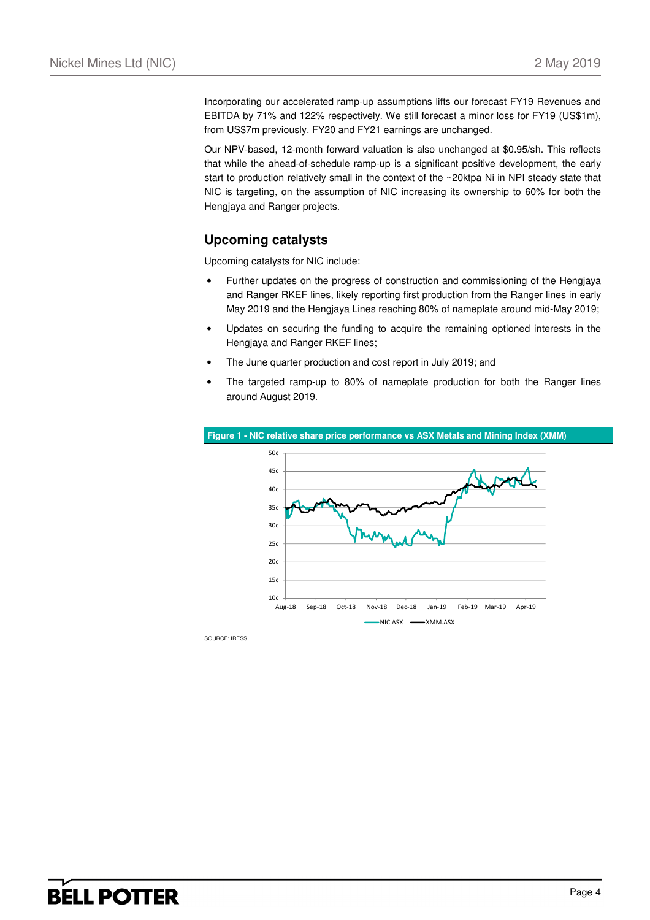Incorporating our accelerated ramp-up assumptions lifts our forecast FY19 Revenues and EBITDA by 71% and 122% respectively. We still forecast a minor loss for FY19 (US\$1m), from US\$7m previously. FY20 and FY21 earnings are unchanged.

Our NPV-based, 12-month forward valuation is also unchanged at \$0.95/sh. This reflects that while the ahead-of-schedule ramp-up is a significant positive development, the early start to production relatively small in the context of the ~20ktpa Ni in NPI steady state that NIC is targeting, on the assumption of NIC increasing its ownership to 60% for both the Hengjaya and Ranger projects.

## **Upcoming catalysts**

Upcoming catalysts for NIC include:

- Further updates on the progress of construction and commissioning of the Hengjaya and Ranger RKEF lines, likely reporting first production from the Ranger lines in early May 2019 and the Hengjaya Lines reaching 80% of nameplate around mid-May 2019;
- Updates on securing the funding to acquire the remaining optioned interests in the Hengjaya and Ranger RKEF lines;
- The June quarter production and cost report in July 2019; and
- The targeted ramp-up to 80% of nameplate production for both the Ranger lines around August 2019.



SOURCE: IRESS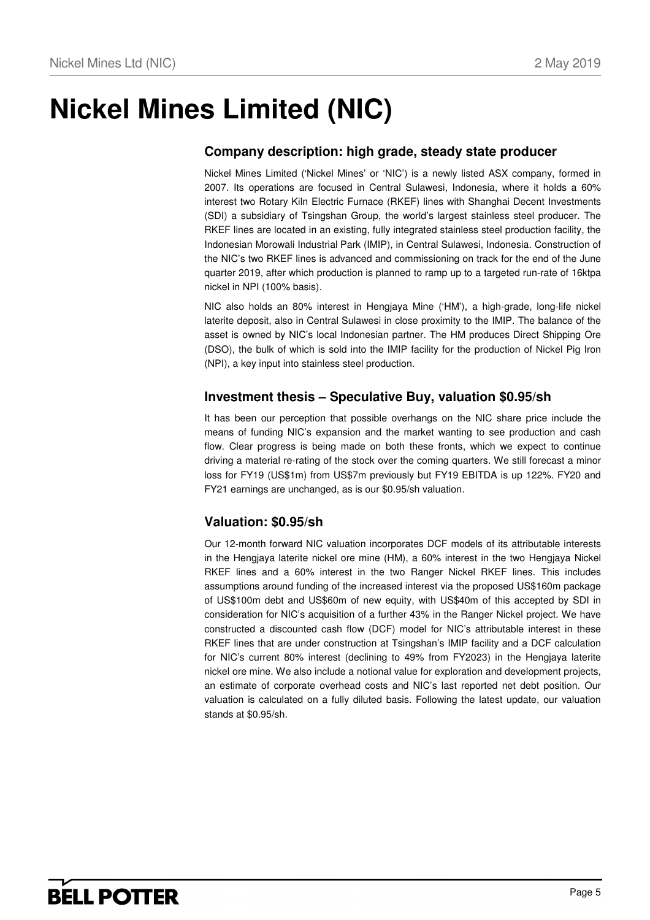# **Nickel Mines Limited (NIC)**

## **Company description: high grade, steady state producer**

Nickel Mines Limited ('Nickel Mines' or 'NIC') is a newly listed ASX company, formed in 2007. Its operations are focused in Central Sulawesi, Indonesia, where it holds a 60% interest two Rotary Kiln Electric Furnace (RKEF) lines with Shanghai Decent Investments (SDI) a subsidiary of Tsingshan Group, the world's largest stainless steel producer. The RKEF lines are located in an existing, fully integrated stainless steel production facility, the Indonesian Morowali Industrial Park (IMIP), in Central Sulawesi, Indonesia. Construction of the NIC's two RKEF lines is advanced and commissioning on track for the end of the June quarter 2019, after which production is planned to ramp up to a targeted run-rate of 16ktpa nickel in NPI (100% basis).

NIC also holds an 80% interest in Hengjaya Mine ('HM'), a high-grade, long-life nickel laterite deposit, also in Central Sulawesi in close proximity to the IMIP. The balance of the asset is owned by NIC's local Indonesian partner. The HM produces Direct Shipping Ore (DSO), the bulk of which is sold into the IMIP facility for the production of Nickel Pig Iron (NPI), a key input into stainless steel production.

## **Investment thesis – Speculative Buy, valuation \$0.95/sh**

It has been our perception that possible overhangs on the NIC share price include the means of funding NIC's expansion and the market wanting to see production and cash flow. Clear progress is being made on both these fronts, which we expect to continue driving a material re-rating of the stock over the coming quarters. We still forecast a minor loss for FY19 (US\$1m) from US\$7m previously but FY19 EBITDA is up 122%. FY20 and FY21 earnings are unchanged, as is our \$0.95/sh valuation.

## **Valuation: \$0.95/sh**

Our 12-month forward NIC valuation incorporates DCF models of its attributable interests in the Hengiaya laterite nickel ore mine (HM), a 60% interest in the two Hengiaya Nickel RKEF lines and a 60% interest in the two Ranger Nickel RKEF lines. This includes assumptions around funding of the increased interest via the proposed US\$160m package of US\$100m debt and US\$60m of new equity, with US\$40m of this accepted by SDI in consideration for NIC's acquisition of a further 43% in the Ranger Nickel project. We have constructed a discounted cash flow (DCF) model for NIC's attributable interest in these RKEF lines that are under construction at Tsingshan's IMIP facility and a DCF calculation for NIC's current 80% interest (declining to 49% from FY2023) in the Hengjaya laterite nickel ore mine. We also include a notional value for exploration and development projects, an estimate of corporate overhead costs and NIC's last reported net debt position. Our valuation is calculated on a fully diluted basis. Following the latest update, our valuation stands at \$0.95/sh.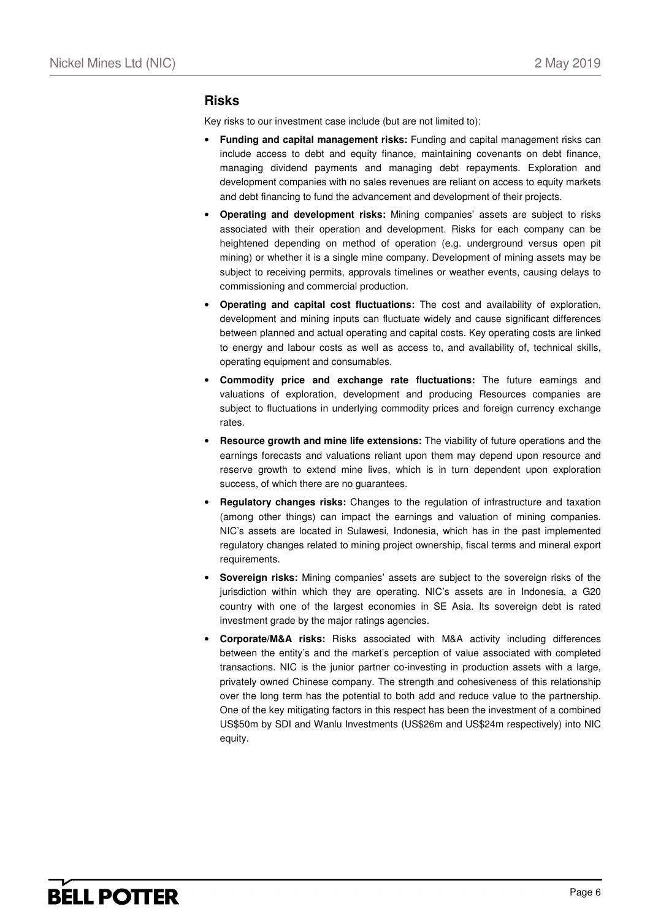#### **Risks**

Key risks to our investment case include (but are not limited to):

- **Funding and capital management risks:** Funding and capital management risks can include access to debt and equity finance, maintaining covenants on debt finance, managing dividend payments and managing debt repayments. Exploration and development companies with no sales revenues are reliant on access to equity markets and debt financing to fund the advancement and development of their projects.
- **Operating and development risks:** Mining companies' assets are subject to risks associated with their operation and development. Risks for each company can be heightened depending on method of operation (e.g. underground versus open pit mining) or whether it is a single mine company. Development of mining assets may be subject to receiving permits, approvals timelines or weather events, causing delays to commissioning and commercial production.
- **Operating and capital cost fluctuations:** The cost and availability of exploration, development and mining inputs can fluctuate widely and cause significant differences between planned and actual operating and capital costs. Key operating costs are linked to energy and labour costs as well as access to, and availability of, technical skills, operating equipment and consumables.
- **Commodity price and exchange rate fluctuations:** The future earnings and valuations of exploration, development and producing Resources companies are subject to fluctuations in underlying commodity prices and foreign currency exchange rates.
- **Resource growth and mine life extensions:** The viability of future operations and the earnings forecasts and valuations reliant upon them may depend upon resource and reserve growth to extend mine lives, which is in turn dependent upon exploration success, of which there are no guarantees.
- **Regulatory changes risks:** Changes to the regulation of infrastructure and taxation (among other things) can impact the earnings and valuation of mining companies. NIC's assets are located in Sulawesi, Indonesia, which has in the past implemented regulatory changes related to mining project ownership, fiscal terms and mineral export requirements.
- **Sovereign risks:** Mining companies' assets are subject to the sovereign risks of the jurisdiction within which they are operating. NIC's assets are in Indonesia, a G20 country with one of the largest economies in SE Asia. Its sovereign debt is rated investment grade by the major ratings agencies.
- **Corporate/M&A risks:** Risks associated with M&A activity including differences between the entity's and the market's perception of value associated with completed transactions. NIC is the junior partner co-investing in production assets with a large, privately owned Chinese company. The strength and cohesiveness of this relationship over the long term has the potential to both add and reduce value to the partnership. One of the key mitigating factors in this respect has been the investment of a combined US\$50m by SDI and Wanlu Investments (US\$26m and US\$24m respectively) into NIC equity.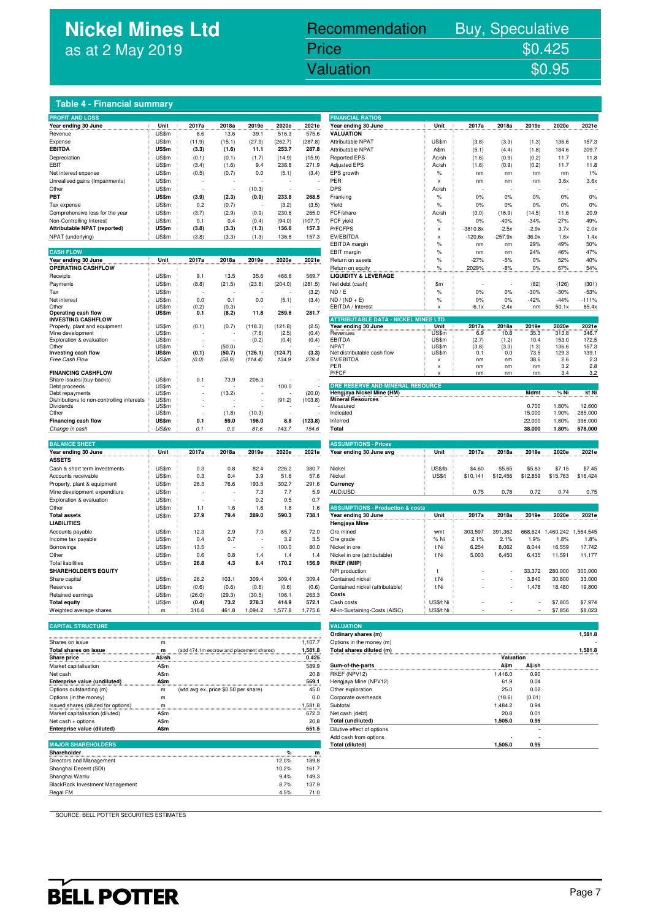## **Nickel Mines Ltd** as at 2 May 2019

## nickel Mines Library (1988). The Contract of May 2019 (1988) and the Contract of Mines Library (1989) and the <br>The Contract of Mines Library (1989) and the Contract of Mines Library (1989) and the Contract of Mines Librar<br> Recommendation Buy, Speculative Price \$0.425

**FINANCIAL RATIOS** 

Valuation  $$0.95$ 

#### **Table 4 - Financial summary**

| <b>PROFIT AND LOSS</b>                                  |                |        |        |         |         |         | <b>FINANCIAL RATIOS</b>                               |                           |              |              |               |                |                |
|---------------------------------------------------------|----------------|--------|--------|---------|---------|---------|-------------------------------------------------------|---------------------------|--------------|--------------|---------------|----------------|----------------|
| Year ending 30 June                                     | Unit           | 2017a  | 2018a  | 2019e   | 2020e   | 2021e   | Year ending 30 June                                   | Unit                      | 2017a        | 2018a        | 2019e         | 2020e          | 2021e          |
| Revenue                                                 | US\$m          | 8.6    | 13.6   | 39.1    | 516.3   | 575.6   | <b>VALUATION</b>                                      |                           |              |              |               |                |                |
| Expense                                                 | US\$m          | (11.9) | (15.1) | (27.9)  | (262.7) | (287.8) | Attributable NPAT                                     | US\$m                     | (3.8)        | (3.3)        | (1.3)         | 136.6          | 157.3          |
| <b>EBITDA</b>                                           | US\$m          | (3.3)  | (1.6)  | 11.1    | 253.7   | 287.8   | Attributable NPAT                                     | A\$m                      | (5.1)        | (4.4)        | (1.8)         | 184.6          | 209.7          |
| Depreciation                                            | US\$m          | (0.1)  | (0.1)  | (1.7)   | (14.9)  | (15.9)  | <b>Reported EPS</b>                                   | Ac/sh                     | (1.6)        | (0.9)        | (0.2)         | 11.7           | 11.8           |
| EBIT                                                    | US\$m          |        |        | 9.4     | 238.8   | 271.9   | <b>Adjusted EPS</b>                                   | Ac/sh                     |              |              |               | 11.7           | 11.8           |
|                                                         | US\$m          | (3.4)  | (1.6)  | $0.0\,$ |         | (3.4)   | EPS growth                                            | $\%$                      | (1.6)<br>nm  | (0.9)<br>nm  | (0.2)<br>nm   | nm             | 1%             |
| Net interest expense                                    |                | (0.5)  | (0.7)  |         | (5.1)   |         |                                                       |                           |              |              |               |                |                |
| Unrealised gains (Impairments)                          | US\$m          |        |        |         |         |         | PER                                                   | x                         | nm           | nm           | nm            | 3.6x           | 3.6x           |
| Other                                                   | US\$m          |        |        | (10.3)  |         |         | <b>DPS</b>                                            | Ac/sh                     |              |              |               |                |                |
| PBT                                                     | US\$m          | (3.9)  | (2.3)  | (0.9)   | 233.8   | 268.5   | Franking                                              | $\%$                      | 0%           | 0%           | 0%            | 0%             | 0%             |
| Tax expense                                             | US\$m          | 0.2    | (0.7)  |         | (3.2)   | (3.5)   | Yield                                                 | $\%$                      | 0%           | 0%           | 0%            | 0%             | 0%             |
| Comprehensive loss for the year                         | US\$m          | (3.7)  | (2.9)  | (0.9)   | 230.6   | 265.0   | FCF/share                                             | Ac/sh                     | (0.0)        | (16.9)       | (14.5)        | 11.6           | 20.9           |
| Non-Controlling Interest                                | US\$m          | 0.1    | 0.4    | (0.4)   | (94.0)  | (107.7) | FCF yield                                             | $\%$                      | 0%           | $-40%$       | $-34%$        | 27%            | 49%            |
| Attributable NPAT (reported)                            | US\$m          | (3.8)  | (3.3)  | (1.3)   | 136.6   | 157.3   | P/FCFPS                                               | $\boldsymbol{\mathsf{x}}$ | $-3810.8x$   | $-2.5x$      | $-2.9x$       | 3.7x           | 2.0x           |
| NPAT (underlying)                                       | US\$m          | (3.8)  | (3.3)  | (1.3)   | 136.6   | 157.3   | EV/EBITDA                                             | $\boldsymbol{\mathsf{x}}$ | $-120.6x$    | $-257.9x$    | 36.0x         | 1.6x           | 1.4x           |
|                                                         |                |        |        |         |         |         | <b>EBITDA</b> margin                                  | %                         | nm           | nm           | 29%           | 49%            | 50%            |
| <b>CASH FLOW</b>                                        |                |        |        |         |         |         | EBIT margin                                           | $\%$                      | nm           | nm           | 24%           | 46%            | 47%            |
| Year ending 30 June                                     | Unit           | 2017a  | 2018a  | 2019e   | 2020e   | 2021e   | Return on assets                                      | $\frac{9}{6}$             | $-27%$       | $-5%$        | 0%            | 52%            | 40%            |
| OPERATING CASHFLOW                                      |                |        |        |         |         |         | Return on equity<br>.                                 | %                         | 2029%        | $-8%$        | 0%            | 67%            | 54%            |
| Receipts                                                | US\$m          | 9.1    | 13.5   | 35.6    | 468.6   | 569.7   | <b>LIQUIDITY &amp; LEVERAGE</b>                       |                           |              |              |               |                |                |
| Payments                                                | US\$m          | (8.8)  | (21.5) | (23.8)  | (204.0) | (281.5) | Net debt (cash)                                       | \$m                       |              |              | (82)          | (126)          | (301)          |
| Tax                                                     | US\$m          |        |        |         |         | (3.2)   | ND / E                                                | $\%$                      | 0%           | 0%           | $-30%$        | $-30%$         | $-53%$         |
| Net interest                                            | US\$m          | 0.0    | 0.1    | 0.0     | (5.1)   | (3.4)   | $ND / (ND + E)$                                       | $\%$                      | 0%           | 0%           | $-42%$        | $-44%$         | $-111%$        |
| Other                                                   | US\$m          | (0.2)  | (0.3)  |         |         |         | EBITDA / Interest                                     | x                         | $-6.1x$      | $-2.4x$      | nm            | 50.1x          | 85.4x          |
| Operating cash flow                                     | US\$m          | 0.1    | (8.2)  | 11.8    | 259.6   | 281.7   |                                                       |                           |              |              |               |                |                |
| <b>INVESTING CASHFLOW</b>                               |                |        |        |         |         |         | <b>ATTRIBUTABLE DATA - NICKEL MINES LTD</b>           |                           |              |              |               |                |                |
| Property, plant and equipment                           | US\$m          | (0.1)  | (0.7)  | (118.3) | (121.8) | (2.5)   | Year ending 30 June                                   | Unit                      | 2017a        | 2018a        | 2019e         | 2020e          | 2021e          |
| Mine development                                        | US\$m          |        |        | (7.6)   | (2.5)   | (0.4)   | Revenues                                              | US\$m                     | 6.9          | 10.8         | 35.3          | 313.8          | 346.7          |
| Exploration & evaluation<br>Other                       | US\$m          |        | (50.0) | (0.2)   | (0.4)   | (0.4)   | EBITDA<br><b>NPAT</b>                                 | US\$m<br>US\$m            | (2.7)        | (1.2)        | 10.4          | 153.0<br>136.6 | 172.5<br>157.3 |
| Investing cash flow                                     | US\$m<br>US\$m | (0.1)  | (50.7) | (126.1) | (124.7) | (3.3)   | Net distributable cash flow                           | US\$m                     | (3.8)<br>0.1 | (3.3)<br>0.0 | (1.3)<br>73.5 | 129.3          | 139.1          |
| Free Cash Flow                                          | US\$m          | (0.0)  | (58.9) | (114.4) | 134.9   | 278.4   | EV/EBITDA                                             | $\boldsymbol{\mathsf{x}}$ | nm           | nm           | 38.6          | 2.6            | 2.3            |
|                                                         |                |        |        |         |         |         | PER                                                   | $\pmb{\mathsf{x}}$        | nm           | nm           | nm            | 3.2            | 2.8            |
| <b>FINANCING CASHFLOW</b>                               |                |        |        |         |         |         | P/FCF                                                 |                           | nm           | nm           | nm            | 3.4            | 3.2            |
| Share issues/(buy-backs)                                | US\$m          | 0.1    | 73.9   | 206.3   |         |         |                                                       |                           |              |              |               |                |                |
| Debt proceeds                                           | US\$m          |        |        |         | 100.0   |         | ORE RESERVE AND MINERAL RESOURCE                      |                           |              |              |               |                |                |
| Debt repayments                                         | US\$m          |        | (13.2) | J.      |         | (20.0)  | Hengjaya Nickel Mine (HM)<br><b>Mineral Resources</b> |                           |              |              | Mdmt          | % Ni           | kt Ni          |
| Distributions to non-controlling interests<br>Dividends | US\$m<br>US\$m |        |        |         | (91.2)  | (103.8) | Measured                                              |                           |              |              | 0.700         | 1.80%          | 12,600         |
| Other                                                   | US\$m          |        | (1.8)  | (10.3)  |         |         | Indicated                                             |                           |              |              | 15.000        | 1.90%          | 285,000        |
| <b>Financing cash flow</b>                              | US\$m          | 0.1    | 59.0   | 196.0   | 8.8     | (123.8) | Inferred                                              |                           |              |              | 22.000        | 1.80%          | 396,000        |
| Change in cash                                          | US\$m          | 0.1    | 0.0    | 81.6    | 143.7   | 154.6   | <b>Total</b>                                          |                           |              |              | 38.000        | 1.80%          | 678,000        |
|                                                         |                |        |        |         |         |         |                                                       |                           |              |              |               |                |                |
| <b>BALANCE SHEET</b>                                    |                |        |        |         |         |         | <b>ASSUMPTIONS - Prices</b>                           |                           |              |              |               |                |                |
| Year ending 30 June                                     | Unit           | 2017a  | 2018a  | 2019e   | 2020e   | 2021e   | Year ending 30 June avg                               | Unit                      | 2017a        | 2018a        | 2019e         | 2020e          | 2021e          |
| <b>ASSETS</b>                                           |                |        |        |         |         |         |                                                       |                           |              |              |               |                |                |
| Cash & short term investments                           | US\$m          | 0.3    | 0.8    | 82.4    | 226.2   | 380.7   | Nickel                                                | US\$/lb                   | \$4.60       | \$5.65       | \$5.83        | \$7.15         | \$7.45         |
|                                                         | US\$m          | 0.3    | 0.4    | 3.9     | 51.6    | 57.6    | Nickel                                                | US\$/t                    | \$10,141     | \$12,456     | \$12,859      | \$15,763       | \$16,424       |
| Accounts receivable                                     |                |        |        |         |         |         |                                                       |                           |              |              |               |                |                |
| Property, plant & equipment                             | US\$m          | 26.3   | 76.6   | 193.5   | 302.7   | 291.6   | Currency                                              |                           |              |              |               |                |                |
| Mine development expenditure                            | US\$m          |        |        | 7.3     | 7.7     | 5.9     | AUD:USD                                               |                           | 0.75         | 0.78         | 0.72          | 0.74           | 0.75           |
| Exploration & evaluation                                | US\$m          |        |        | 0.2     | 0.5     | 0.7     |                                                       |                           |              |              |               |                |                |
| Other                                                   | US\$m          | 1.1    | 1.6    | 1.6     | 1.6     | 1.6     | <b>ASSUMPTIONS - Production &amp; costs</b>           |                           |              |              |               |                |                |
| <b>Total assets</b>                                     | US\$m          | 27.9   | 79.4   | 289.0   | 590.3   | 738.1   | Year ending 30 June                                   | Unit                      | 2017a        | 2018a        | 2019e         | 2020e          | 2021e          |
| <b>LIABILITIES</b>                                      |                |        |        |         |         |         | Hengjaya Mine                                         |                           |              |              |               |                |                |
| Accounts payable                                        | US\$m          | 12.3   | 2.9    | 7.0     | 65.7    | 72.0    | Ore mined                                             | wmt                       | 303,597      | 391,362      | 668,624       | 1,460,242      | 1,564,545      |
| Income tax payable                                      | US\$m          | 0.4    | 0.7    |         | 3.2     | 3.5     | Ore grade                                             | % Ni                      | 2.1%         | 2.1%         | 1.9%          | 1.8%           | 1.8%           |
| Borrowings                                              | US\$m          | 13.5   |        | ÷,      | 100.0   | 80.0    | Nickel in ore                                         | t Ni                      | 6,254        | 8,062        | 8,044         | 16,559         | 17,742         |
| Other                                                   | US\$m          | 0.6    | 0.8    | 1.4     | 1.4     | 1.4     | Nickel in ore (attributable)                          | t Ni                      | 5,003        | 6,450        | 6,435         | 11,591         | 11,177         |
| <b>Total liabilities</b>                                | US\$m          | 26.8   | 4.3    | 8.4     | 170.2   | 156.9   | <b>RKEF (IMIP)</b>                                    |                           |              |              |               |                |                |
| <b>SHAREHOLDER'S EQUITY</b>                             |                |        |        |         |         |         | NPI production                                        | $\ddagger$                |              |              | 33,372        | 280,000        | 300,000        |
| Share capital                                           | US\$m          | 26.2   | 103.1  | 309.4   | 309.4   | 309.4   | Contained nickel                                      | t Ni                      |              |              | 3,840         | 30,800         | 33,000         |
| Reserves                                                | US\$m          | (0.6)  | (0.6)  | (0.6)   | (0.6)   | (0.6)   | Contained nickel (attributable)                       | t Ni                      |              |              | 1,478         | 18,480         | 19,800         |
| Retained earnings                                       | US\$m          | (26.0) | (29.3) | (30.5)  | 106.1   | 263.3   | Costs                                                 |                           |              |              |               |                |                |
| <b>Total equity</b>                                     | US\$m          | (0.4)  | 73.2   | 278.3   | 414.9   | 572.1   | Cash costs                                            | US\$/t Ni                 |              |              |               | \$7,805        | \$7,974        |
| Weighted average shares                                 | m              | 316.6  | 461.8  | 1,094.2 | 1,577.8 | 1,775.6 | All-in-Sustaining-Costs (AISC)                        | US\$/t Ni                 |              |              |               | \$7,856        | \$8,023        |
|                                                         |                |        |        |         |         |         |                                                       |                           |              |              |               |                |                |
|                                                         |                |        |        |         |         |         |                                                       |                           |              |              |               |                |                |

| EBITDA margin                               | %                | nm            | nm                | 29%            | 49%                 | 50%              |
|---------------------------------------------|------------------|---------------|-------------------|----------------|---------------------|------------------|
| EBIT margin                                 | %                | nm            | nm                | 24%            | 46%                 | 47%              |
| Return on assets                            | %                | $-27%$        | $-5%$             | 0%             | 52%                 | 40%              |
| Return on equity                            | %                | 2029%         | -8%               | $0\%$          | 67%                 | 54%              |
| <b>LIQUIDITY &amp; LEVERAGE</b>             |                  |               |                   |                |                     |                  |
| Net debt (cash)                             | \$m              |               |                   | (82)           | (126)               | (301)            |
| ND / E                                      | %                | 0%            | 0%                | $-30%$         | $-30%$              | $-53%$           |
| $ND / (ND + E)$<br>EBITDA / Interest        | %<br>$\mathbf x$ | 0%<br>$-6.1x$ | 0%<br>$-2.4x$     | $-42%$<br>nm   | $-44%$<br>50.1x     | $-111%$<br>85.4x |
|                                             |                  |               |                   |                |                     |                  |
| <b>ATTRIBUTABLE DATA - NICKEL MINES LTD</b> |                  |               |                   |                |                     |                  |
| Year ending 30 June                         | Unit             | 2017a         | 2018a             | 2019e          | 2020e               | 2021e            |
| Revenues<br>EBITDA                          | US\$m<br>US\$m   | 6.9<br>(2.7)  | 10.8<br>(1.2)     | 35.3<br>10.4   | 313.8<br>153.0      | 346.7<br>172.5   |
| NPAT                                        | US\$m            | (3.8)         | (3.3)             | (1.3)          | 136.6               | 157.3            |
| Net distributable cash flow                 | US\$m            | 0.1           | 0.0               | 73.5           | 129.3               | 139.1            |
| EV/EBITDA                                   | X                | nm            | nm                | 38.6           | 2.6                 | 2.3              |
| PFR                                         | X                | nm            | nm                | nm             | 3.2                 | 2.8              |
| P/FCF                                       | x                | nm            | nm                | nm             | 3.4                 | 3.2              |
| ORE RESERVE AND MINERAL RESOURCE            |                  |               |                   |                |                     |                  |
| Hengjaya Nickel Mine (HM)                   |                  |               |                   | Mdmt           | % Ni                | kt Ni            |
| <b>Mineral Resources</b><br>Measured        |                  |               |                   | 0.700          | 1.80%               | 12,600           |
| Indicated                                   |                  |               |                   | 15.000         | 1.90%               | 285,000          |
| Inferred                                    |                  |               |                   | 22.000         | 1.80%               | 396,000          |
| Total                                       |                  |               |                   | 38.000         | 1.80%               | 678,000          |
|                                             |                  |               |                   |                |                     |                  |
| <b>ASSUMPTIONS - Prices</b>                 |                  |               |                   |                |                     |                  |
| Year ending 30 June avg                     | Unit             | 2017a         | 2018a             | 2019e          | 2020e               | 2021e            |
|                                             |                  |               |                   |                |                     |                  |
| Nickel                                      | US\$/lb          | \$4.60        | \$5.65            | \$5.83         | \$7.15              | \$7.45           |
| Nickel                                      | US\$/t           | \$10,141      | \$12,456          | \$12,859       | \$15,763            | \$16,424         |
| Currency                                    |                  |               |                   |                |                     |                  |
| AUD:USD                                     |                  | 0.75          | 0.78              | 0.72           | 0.74                | 0.75             |
|                                             |                  |               |                   |                |                     |                  |
|                                             |                  |               |                   |                |                     |                  |
| <b>ASSUMPTIONS - Production &amp; costs</b> |                  |               |                   |                |                     |                  |
| Year ending 30 June                         | Unit             | 2017a         | 2018a             | 2019e          | 2020e               | 2021e            |
| Hengjaya Mine<br>Ore mined                  | wmt              | 303,597       | 391,362           | 668,624        | 1,460,242 1,564,545 |                  |
| Ore grade                                   | % Ni             | 2.1%          | 2.1%              | 1.9%           | 1.8%                | 1.8%             |
| Nickel in ore                               | t Ni             | 6,254         | 8,062             | 8,044          | 16,559              | 17,742           |
| Nickel in ore (attributable)                | t Ni             | 5,003         | 6,450             | 6,435          | 11,591              | 11,177           |
| RKEF (IMIP)                                 |                  |               |                   |                |                     |                  |
| NPI production                              | ŧ                |               |                   | 33,372         | 280,000             | 300,000          |
| Contained nickel                            | t Ni             |               |                   | 3,840          | 30,800              | 33,000           |
| Contained nickel (attributable)             | t Ni             |               |                   | 1,478          | 18,480              | 19,800           |
| Costs                                       |                  |               |                   |                |                     |                  |
| Cash costs                                  | US\$/t Ni        |               |                   |                | \$7,805             | \$7,974          |
| All-in-Sustaining-Costs (AISC)              | US\$/t Ni        |               |                   |                | \$7,856             | \$8,023          |
|                                             |                  |               |                   |                |                     |                  |
| <b>VALUATION</b>                            |                  |               |                   |                |                     |                  |
| Ordinary shares (m)                         |                  |               |                   |                |                     | 1,581.8          |
| Options in the money (m)                    |                  |               |                   |                |                     |                  |
| Total shares diluted (m)                    |                  |               |                   |                |                     | 1,581.8          |
|                                             |                  |               | Valuation         |                |                     |                  |
| Sum-of-the-parts                            |                  |               | A\$m              | A\$/sh<br>0.90 |                     |                  |
| RKEF (NPV12)<br>Hengjaya Mine (NPV12)       |                  |               | 1,416.0<br>61.9   | 0.04           |                     |                  |
|                                             |                  |               | 25.0              |                |                     |                  |
| Other exploration                           |                  |               |                   | 0.02           |                     |                  |
| Corporate overheads<br>Subtotal             |                  |               | (18.6)<br>1,484.2 | (0.01)<br>0.94 |                     |                  |
| Net cash (debt)                             |                  |               | 20.8              | 0.01           |                     |                  |
| Total (undiluted)                           |                  |               | 1,505.0           | 0.95           |                     |                  |
| Dilutive effect of options                  |                  |               |                   |                |                     |                  |
| Add cash from options                       |                  |               |                   |                |                     |                  |

| <b>CAPITAL STRUCTURE</b> | <b>VALUATION</b> |
|--------------------------|------------------|
|--------------------------|------------------|

|                                     |        |                                          |         | Ordinary snares (m)        |           |        | 1.JO 1.0 |
|-------------------------------------|--------|------------------------------------------|---------|----------------------------|-----------|--------|----------|
| Shares on issue                     | m      |                                          | 1.107.7 | Options in the money (m)   |           |        |          |
| Total shares on issue               | m      | (add 474.1m escrow and placement shares) | 1.581.8 | Total shares diluted (m)   |           |        | 1.581.8  |
| Share price                         | A\$/sh |                                          | 0.425   |                            | Valuation |        |          |
| Market capitalisation               | A\$m   |                                          | 589.9   | Sum-of-the-parts           | A\$m      | A\$/sh |          |
| Net cash                            | A\$m   |                                          | 20.8    | RKEF (NPV12)               | 1.416.0   | 0.90   |          |
| Enterprise value (undiluted)        | A\$m   |                                          | 569.1   | Hengjaya Mine (NPV12)      | 61.9      | 0.04   |          |
| Options outstanding (m)             | m      | (wtd avg ex. price \$0.50 per share)     | 45.0    | Other exploration          | 25.0      | 0.02   |          |
| Options (in the money)              | m      |                                          | 0.0     | Corporate overheads        | (18.6)    | (0.01) |          |
| Issued shares (diluted for options) | m      |                                          | 1.581.8 | Subtotal                   | 1.484.2   | 0.94   |          |
| Market capitalisation (diluted)     | A\$m   |                                          | 672.3   | Net cash (debt)            | 20.8      | 0.01   |          |
| Net cash + options                  | A\$m   |                                          | 20.8    | Total (undiluted)          | 1.505.0   | 0.95   |          |
| Enterprise value (diluted)          | A\$m   |                                          | 651.5   | Dilutive effect of options |           |        |          |

#### $MAJOR$  SHAREHOLDE

| Shareholder                            | $\%$  | m     |
|----------------------------------------|-------|-------|
| Directors and Management               | 12.0% | 189.8 |
| Shanghai Decent (SDI)                  | 10.2% | 161.7 |
| Shanghai Wanlu                         | 9.4%  | 149.3 |
| <b>BlackRock Investment Management</b> | 8.7%  | 137.9 |
| Regal FM                               | 4.5%  | 71.0  |

SOURCE: BELL POTTER SECURITIES ESTIMATES